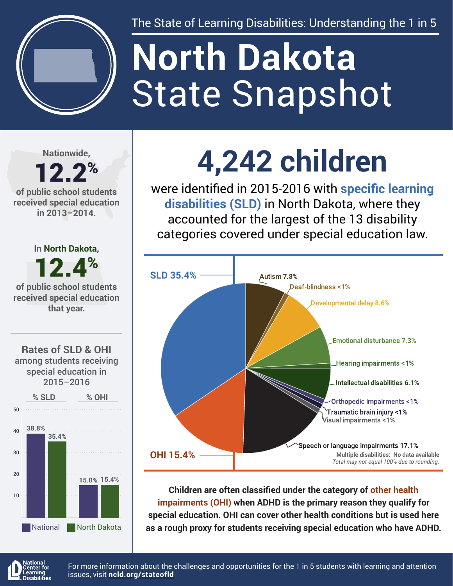

The State of Learning Disabilities: Understanding the 1 in 5

# State Snapshot **North Dakota**

**Nationwide,**

#### 12.2% **of public school students received special education in 2013–2014.**



National North Dakota

**4,242 children**

were identified in 2015-2016 with **specific learning disabilities (SLD)** in North Dakota, where they accounted for the largest of the 13 disability categories covered under special education law.



**Children are often classified under the category of other health impairments (OHI) when ADHD is the primary reason they qualify for special education. OHI can cover other health conditions but is used here as a rough proxy for students receiving special education who have ADHD.**



For more information about the challenges and opportunities for the 1 in 5 students with learning and attention issues, visit **[ncld.org/stateofld](http://ncld.org/stateofld)**